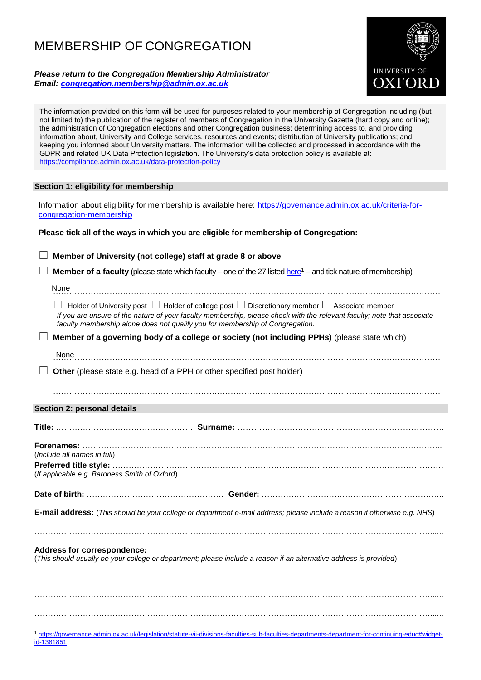# MEMBERSHIP OF CONGREGATION

*Please return to the Congregation Membership Administrator Email: [congregation.membership@admin.ox.ac.uk](mailto:congregation.membership@admin.ox.ac.uk)*



The information provided on this form will be used for purposes related to your membership of Congregation including (but not limited to) the publication of the register of members of Congregation in the University Gazette (hard copy and online); the administration of Congregation elections and other Congregation business; determining access to, and providing information about, University and College services, resources and events; distribution of University publications; and keeping you informed about University matters. The information will be collected and processed in accordance with the GDPR and related UK Data Protection legislation. The University's data protection policy is available at: <https://compliance.admin.ox.ac.uk/data-protection-policy>

## **Section 1: eligibility for membership**

[id-1381851](https://governance.admin.ox.ac.uk/legislation/statute-vii-divisions-faculties-sub-faculties-departments-department-for-continuing-educ#widget-id-1381851)

Information about eligibility for membership is available here: [https://governance.admin.ox.ac.uk/criteria-for](https://governance.admin.ox.ac.uk/criteria-for-congregation-membership)[congregation-membership](https://governance.admin.ox.ac.uk/criteria-for-congregation-membership) 

# **Please tick all of the ways in which you are eligible for membership of Congregation:**

 **Member of University (not college) staff at grade 8 or above Member of a faculty** (please state which faculty – one of the 27 listed [here](https://governance.admin.ox.ac.uk/legislation/statute-vii-divisions-faculties-sub-faculties-departments-department-for-continuing-educ#widget-id-1381851)<sup>1</sup> – and tick nature of membership) ………………………………………………………………………………………………………………………………  $\Box$  Holder of University post  $\Box$  Holder of college post  $\Box$  Discretionary member  $\Box$  Associate member *If you are unsure of the nature of your faculty membership, please check with the relevant faculty; note that associate faculty membership alone does not qualify you for membership of Congregation.* **Member of a governing body of a college or society (not including PPHs)** (please state which) ……………………………………………………………………………………………………………………………… None **Other** (please state e.g. head of a PPH or other specified post holder) ……………………………………………………………………………………………………………………………… **Section 2: personal details Title:** …………………………………………… **Surname:** ………………………………………………………………… **Forenames:** …………………………………………………………………………………………………………………….. (*Include all names in full*) **Preferred title style:** …………………………………………………………………………………………………………… (*If applicable e.g. Baroness Smith of Oxford*) **Date of birth:** …………………………………………… **Gender:** ………………………………………………………….. **E-mail address:** (*This should be your college or department e-mail address; please include a reason if otherwise e.g. NHS*) …………………………………………………………………………………………………………………………………...... **Address for correspondence:** (*This should usually be your college or department; please include a reason if an alternative address is provided*) …………………………………………………………………………………………………………………………………...... …………………………………………………………………………………………………………………………………...... …………………………………………………………………………………………………………………………………...... 1 [https://governance.admin.ox.ac.uk/legislation/statute-vii-divisions-faculties-sub-faculties-departments-department-for-continuing-educ#widget-](https://governance.admin.ox.ac.uk/legislation/statute-vii-divisions-faculties-sub-faculties-departments-department-for-continuing-educ#widget-id-1381851)None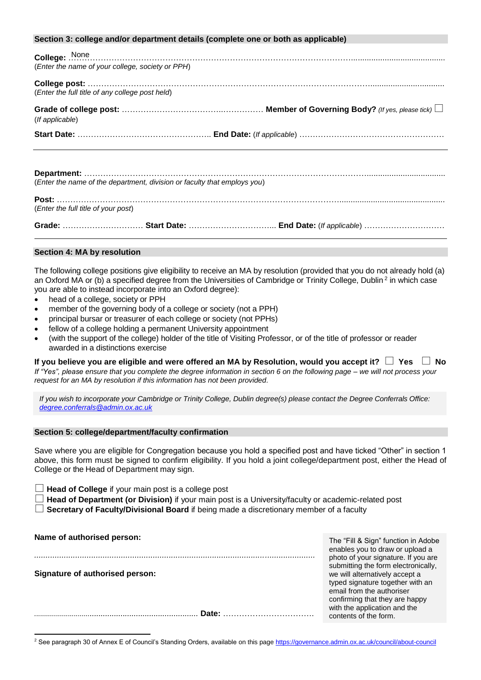| Section 3: college and/or department details (complete one or both as applicable) |  |  |  |
|-----------------------------------------------------------------------------------|--|--|--|
| (Enter the name of your college, society or PPH)                                  |  |  |  |
| (Enter the full title of any college post held)                                   |  |  |  |
| (If applicable)                                                                   |  |  |  |
|                                                                                   |  |  |  |
| (Enter the name of the department, division or faculty that employs you)          |  |  |  |
|                                                                                   |  |  |  |
| (Enter the full title of your post)                                               |  |  |  |

**Grade:** ………………………… **Start Date:** …………………………... **End Date:** (*If applicable*) …………………………

## **Section 4: MA by resolution**

The following college positions give eligibility to receive an MA by resolution (provided that you do not already hold (a) an Oxford MA or (b) a specified degree from the Universities of Cambridge or Trinity College, Dublin<sup>2</sup> in which case you are able to instead incorporate into an Oxford degree):

- head of a college, society or PPH
- member of the governing body of a college or society (not a PPH)
- principal bursar or treasurer of each college or society (not PPHs)
- fellow of a college holding a permanent University appointment
- (with the support of the college) holder of the title of Visiting Professor, or of the title of professor or reader awarded in a distinctions exercise

**If you believe you are eligible and were offered an MA by Resolution, would you accept it? Yes No** *If "Yes", please ensure that you complete the degree information in section 6 on the following page – we will not process your request for an MA by resolution if this information has not been provided.*

*If you wish to incorporate your Cambridge or Trinity College, Dublin degree(s) please contact the Degree Conferrals Office: [degree.conferrals@admin.ox.ac.uk](mailto:degree.conferrals@admin.ox.ac.uk)*

#### **Section 5: college/department/faculty confirmation**

Save where you are eligible for Congregation because you hold a specified post and have ticked "Other" in section 1 above, this form must be signed to confirm eligibility. If you hold a joint college/department post, either the Head of College or the Head of Department may sign.

**Head of College** if your main post is <sup>a</sup> college post

**Head of Department (or Division)** if your main post is a University/faculty or academic-related post

**Secretary of Faculty/Divisional Board** if being made <sup>a</sup> discretionary member of <sup>a</sup> faculty

| Name of authorised person:      | The "Fill & Sign" function in Adobe<br>enables you to draw or upload a                                                                           |
|---------------------------------|--------------------------------------------------------------------------------------------------------------------------------------------------|
| Signature of authorised person: | photo of your signature. If you are<br>submitting the form electronically,<br>we will alternatively accept a<br>typed signature together with an |
| Date:                           | email from the authoriser<br>confirming that they are happy<br>with the application and the<br>contents of the form.                             |
|                                 |                                                                                                                                                  |

 $\overline{a}$ <sup>2</sup> See paragraph 30 of Annex E of Council's Standing Orders, available on this pag[e https://governance.admin.ox.ac.uk/council/about-council](https://governance.admin.ox.ac.uk/council/about-council)